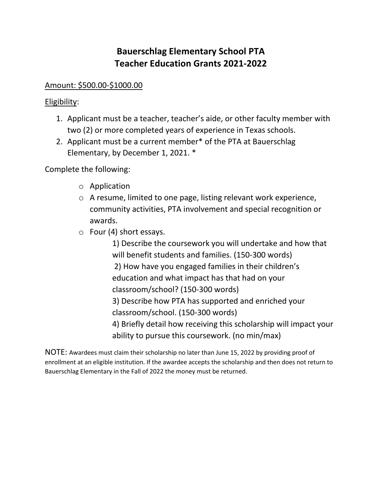## **Bauerschlag Elementary School PTA Teacher Education Grants 2021-2022**

## Amount: \$500.00-\$1000.00

## Eligibility:

- 1. Applicant must be a teacher, teacher's aide, or other faculty member with two (2) or more completed years of experience in Texas schools.
- 2. Applicant must be a current member\* of the PTA at Bauerschlag Elementary, by December 1, 2021. \*

Complete the following:

- o Application
- o A resume, limited to one page, listing relevant work experience, community activities, PTA involvement and special recognition or awards.
- o Four (4) short essays.

1) Describe the coursework you will undertake and how that will benefit students and families. (150-300 words) 2) How have you engaged families in their children's education and what impact has that had on your classroom/school? (150-300 words) 3) Describe how PTA has supported and enriched your classroom/school. (150-300 words) 4) Briefly detail how receiving this scholarship will impact your ability to pursue this coursework. (no min/max)

NOTE: Awardees must claim their scholarship no later than June 15, 2022 by providing proof of enrollment at an eligible institution. If the awardee accepts the scholarship and then does not return to Bauerschlag Elementary in the Fall of 2022 the money must be returned.